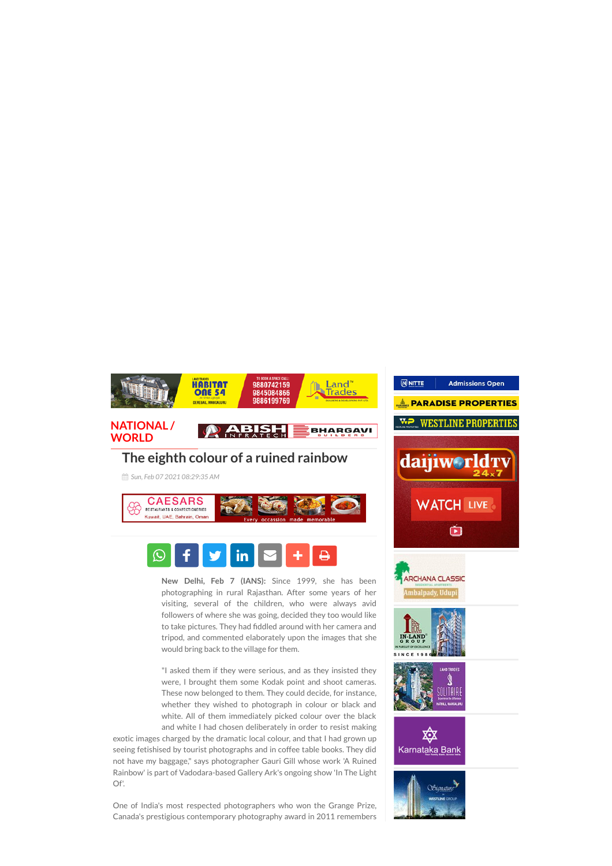

## The eighth colour of a ruined rainbow

*Sun, Feb 07 2021 08:29:35 AM*





New Delhi, Feb 7 (IANS): Since 1999, she has been photographing in rural Rajasthan. After some years of her visiting, several of the children, who were always avid followers of where she was going, decided they too would like to take pictures. They had fiddled around with her camera and tripod, and commented elaborately upon the images that she would bring back to the village for them.

"I asked them if they were serious, and as they insisted they were, I brought them some Kodak point and shoot cameras. These now belonged to them. They could decide, for instance, whether they wished to photograph in colour or black and white. All of them immediately picked colour over the black and white I had chosen deliberately in order to resist making

exotic images charged by the dramatic local colour, and that I had grown up seeing fetishised by tourist photographs and in coffee table books. They did not have my baggage," says photographer Gauri Gill whose work 'A Ruined Rainbow' is part of Vadodara-based Gallery Ark's ongoing show 'In The Light Of'.

One of India's most respected photographers who won the Grange Prize, Canada's prestigious contemporary photography award in 2011 remembers

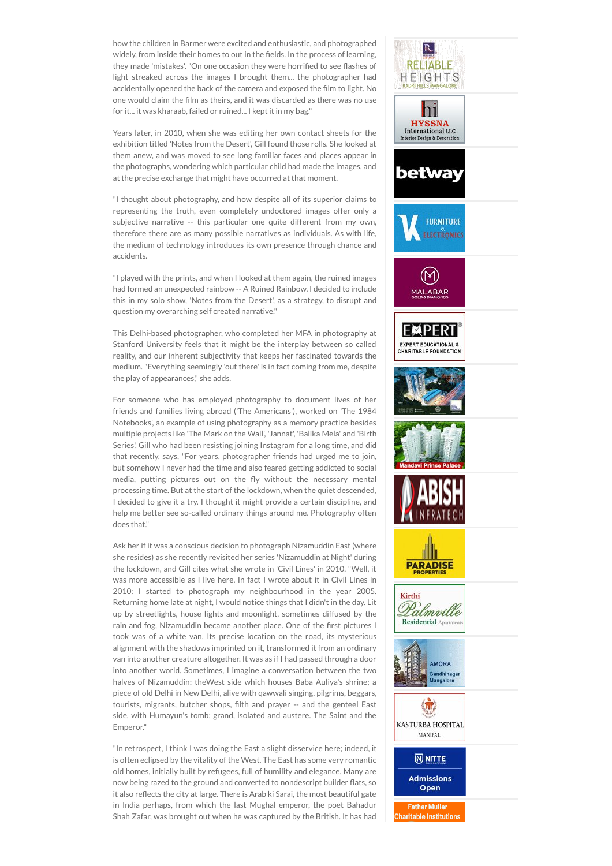how the children in Barmer were excited and enthusiastic, and photographed widely, from inside their homes to out in the fields. In the process of learning, they made 'mistakes'. "On one occasion they were horrified to see flashes of light streaked across the images I brought them... the photographer had accidentally opened the back of the camera and exposed the film to light. No one would claim the Ølm as theirs, and it was discarded as there was no use for it... it was kharaab, failed or ruined... I kept it in my bag."

Years later, in 2010, when she was editing her own contact sheets for the exhibition titled 'Notes from the Desert', Gill found those rolls. She looked at them anew, and was moved to see long familiar faces and places appear in the photographs, wondering which particular child had made the images, and at the precise exchange that might have occurred at that moment.

"I thought about photography, and how despite all of its superior claims to representing the truth, even completely undoctored images offer only a subjective narrative -- this particular one quite different from my own, therefore there are as many possible narratives as individuals. As with life, the medium of technology introduces its own presence through chance and accidents.

"I played with the prints, and when I looked at them again, the ruined images had formed an unexpected rainbow -- A Ruined Rainbow. I decided to include this in my solo show, 'Notes from the Desert', as a strategy, to disrupt and question my overarching self created narrative."

This Delhi-based photographer, who completed her MFA in photography at Stanford University feels that it might be the interplay between so called reality, and our inherent subjectivity that keeps her fascinated towards the medium. "Everything seemingly 'out there' is in fact coming from me, despite the play of appearances," she adds.

For someone who has employed photography to document lives of her friends and families living abroad ('The Americans'), worked on 'The 1984 Notebooks', an example of using photography as a memory practice besides multiple projects like 'The Mark on the Wall', 'Jannat', 'Balika Mela' and 'Birth Series', Gill who had been resisting joining Instagram for a long time, and did that recently, says, "For years, photographer friends had urged me to join, but somehow I never had the time and also feared getting addicted to social media, putting pictures out on the fly without the necessary mental processing time. But at the start of the lockdown, when the quiet descended, I decided to give it a try. I thought it might provide a certain discipline, and help me better see so-called ordinary things around me. Photography often does that."

Ask her if it was a conscious decision to photograph Nizamuddin East (where she resides) as she recently revisited her series 'Nizamuddin at Night' during the lockdown, and Gill cites what she wrote in 'Civil Lines' in 2010. "Well, it was more accessible as I live here. In fact I wrote about it in Civil Lines in 2010: I started to photograph my neighbourhood in the year 2005. Returning home late at night, I would notice things that I didn't in the day. Lit up by streetlights, house lights and moonlight, sometimes diffused by the rain and fog, Nizamuddin became another place. One of the first pictures I took was of a white van. Its precise location on the road, its mysterious alignment with the shadows imprinted on it, transformed it from an ordinary van into another creature altogether. It was as if I had passed through a door into another world. Sometimes, I imagine a conversation between the two halves of Nizamuddin: theWest side which houses Baba Auliya's shrine; a piece of old Delhi in New Delhi, alive with qawwali singing, pilgrims, beggars, tourists, migrants, butcher shops, filth and prayer -- and the genteel East side, with Humayun's tomb; grand, isolated and austere. The Saint and the Emperor."

"In retrospect, I think I was doing the East a slight disservice here; indeed, it is often eclipsed by the vitality of the West. The East has some very romantic old homes, initially built by refugees, full of humility and elegance. Many are now being razed to the ground and converted to nondescript builder flats, so it also reflects the city at large. There is Arab ki Sarai, the most beautiful gate in India perhaps, from which the last Mughal emperor, the poet Bahadur Shah Zafar, was brought out when he was captured by the British. It has had